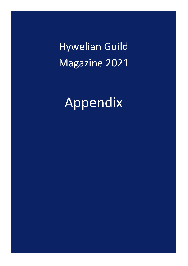Hywelian Guild Magazine 2021

Appendix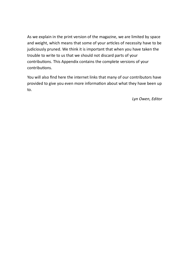As we explain in the print version of the magazine, we are limited by space and weight, which means that some of your articles of necessity have to be judiciously pruned. We think it is important that when you have taken the trouble to write to us that we should not discard parts of your contributions. This Appendix contains the complete versions of your contributions.

You will also find here the internet links that many of our contributors have provided to give you even more information about what they have been up to.

*Lyn Owen, Editor*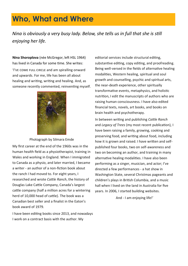# **Who, What and Where**

*Nina is obviously a very busy lady. Below, she tells us in full that she is still enjoying her life.*

**Nina Shoroplova** (née McGregor, left HSL 1964) has lived in Canada for some time. She writes: 'I've come full circle and am spiralling onward and upwards. For me, life has been all about healing and writing, writing and healing. And, as someone recently commented, reinventing myself.



Photograph by Silmara Emde

My first career at the end of the 1960s was in the human health field as a physiotherapist, training in Wales and working in England. When I immigrated to Canada as a physio, and later married, I became a writer - an author of a non-fiction book about the ranch I had moved to. For eight years, I researched and wrote *Cattle Ranch*, the history of Douglas Lake Cattle Company, Canada's largest cattle company (half a million acres for a wintering herd of 10,000 head of cattle). The book was a Canadian best seller and a finalist in the Eaton's book award of 1979.

I have been editing books since 2013, and nowadays I work on a contract basis with the author. My

editorial services include structural editing, substantive editing, copy editing, and proofreading. Being well-versed in the fields of alternative healing modalities, Western healing, spiritual and soul growth and counselling, psychic and spiritual arts, the near-death experience, other spiritually transformative events, metaphysics, and holistic nutrition, I edit the manuscripts of authors who are raising human consciousness. I have also edited financial texts, novels, art books, and books on brain health and psychotherapy.

In between writing and publishing *Cattle Ranch* and *Legacy of Trees* (my most recent publication), I have been raising a family, growing, cooking and preserving food, and writing about food, including how it is grown and raised. I have written and selfpublished four books, two on self-awareness and two on becoming an author, and training in many alternative healing modalities. I have also been performing as a singer, musician, and actor; I've directed a few performances - a hat show in Washington State, several Christmas pageants and children's plays in British Columbia, and a music hall when I lived on the land in Australia for five years. In 2006, I started building websites.

And - I am enjoying life!'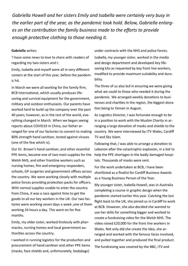*Gabriella Howell and her sisters Emily and Isabella were certainly very busy in the earlier part of the year, as the pandemic took hold. Below, Gabriella enlarges on the contribution the family business made to the efforts to provide enough protective clothing to those needing it.*

#### **Gabriella** writes:

'I have some news to love to share with readers of regarding my two sisters and I:

Emily, Isabella and myself were all in very different careers at the start of this year, before the pandemic hit.

In March we were all working for the family firm, BCB International, which usually produces lifesaving and survival equipment for the government, military and outdoor enthusiasts. Our parents have worked hard to build up the company over the past 40 years; however, as in the rest of the world, everything changed in March. When we began seeing reports about COVID19 in China, our father arranged for one of our factories to convert to making 80% strength hand sanitiser, tested against viruses (one of the few which is).

Our Dr. Brown's hand sanitiser, and other essential PPE items, became one of two main supplies for the Welsh NHS, and other frontline workers such as nursing homes, fire and emergency responders, schools, GP surgeries and government offices across the country. We were working closely with multiple police forces providing protection packs for officers. With normal supplies unable to enter the country from China, it was a race against time to get the goods to all our key workers in the UK. Our two factories were working seven days a week ,one of them working 24 hours a day. This went on for five months.

Emily, my older sister, worked tirelessly with pharmacies, nursing homes and local government authorities across the country.

I worked in running logistics for the production and procurement of hand sanitiser and other PPE items (masks, face shields and, unfortunately, bodybags)

under contracts with the NHS and police forces. Isabella, my younger sister, worked in the media and design department and developed key lifesaving kits as requested by key front line workers, modified to provide maximum suitability and durability.

The three of us also led in ensuring we were giving what we could to those who needed it during the pandemic. We arranged weekly donations to businesses and charities in the region, the biggest donation being to Yemen in August.

As Logistics Director, I was fortunate enough to be in a position to work with the Muslim Charity in arranging a large donation of masks and shields to the country. We were interviewed by ITV Wales, Cardiff TV and Sky Islam.

Following that, I was able to arrange a donation to Lebanon after the catastrophic explosion, in a bid to help the PPE shortages in the badly damaged hospitals. Thousands of masks were sent.

For the work undertaken at BCB, I have been shortlisted as a finalist for Cardiff Business Awards as a Young Business Person of the Year.

My younger sister, Isabella Howell, was in Australia completing a course in graphic design when the pandemic started earlier this year. Catching the last flight back to the UK, she joined us in Cardiff to work at BCB. However, she also decided she wanted to use her skills for something bigger and worked to create a fundraising video for the Welsh NHS. The video raised £20,000 for the front line workers in Wales. Not only did she create the idea, she arranged and worked with the famous faces involved, and pulled together and produced the final product.

The fundraising was covered by the BBC, ITV and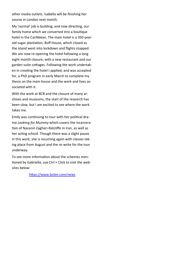other media outlets. Isabella will be finishing her course in London next month.

My 'normal' job is building, and now directing, our family home which we converted into a boutique hotel in the Caribbean. The main hotel is a 350 yearold sugar plantation, Buff House, which closed as the island went into lockdown and flights stopped. We are now re-opening the hotel following a long eight month closure, with a new restaurant and our garden suite cottages. Following the work undertaken in creating the hotel I applied, and was accepted for, a PhD program in early March to complete my thesis on the main house and the work and lives associated with it.

With the work at BCB and the closure of many archives and museums, the start of the research has been slow, but I am excited to see where the work takes me.

Emily was continuing to tour with her political drama *Looking for Mummy* which covers the incarceration of Nazanin Zaghari-Ratcliffe in Iran, as well as her acting school. Though there was a slight pause in this work, she is resuming again with classes taking place from August and the re-write for the tour underway.

To see more information about the schemes mentioned by Gabriella, use Ctrl + Click to visit the websites below:

#### <https://www.bcbin.com/news>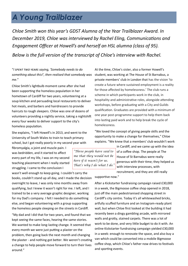# *A Young Trailblazer*

*Chloe Smith won this year's GDST Alumna of the Year Trailblazer Award. In December 2019, Chloe was interviewed by Rachel Eling, Communications and Engagement Officer at Howell's and herself an HSL alumna (class of 95). Below is the full version of the transcript of Chloe's interview with Rachel.*

"*I spent two years saying, 'Somebody needs to do something about this!', then realised that somebody was me*."

Chloe Smith's lightbulb moment came after she had been supporting the homeless population in her hometown of Cardiff for two years, volunteering at a soup kitchen and persuading local restaurants to deliver hot meals, and barbers and hairdressers to provide haircuts to rough sleepers. Chloe was one of dozens of volunteers providing a nightly service, taking a nightshift every four weeks to deliver support to the city's homeless population.

She explains, "I left Howell's in 2013, and went to the University of South Wales to train to teach primary school, but I got really poorly in my second year with

fibromyalgia, a joint and muscle pain. I was bedridden, and it started to affect every part of my life, I was on my second teaching placement when I really started struggling. I came to the conclusion I

wasn't well enough to keep going. I couldn't carry the books, couldn't stand up all day, and I made the decision overnight to leave, I was only nine months away from qualifying, but I knew it wasn't right for me. I left, and I trained to be a very average graphic designer, working for my Dad's company. I felt I needed to do something else, and began volunteering with a group supporting the homeless people sleeping on the streets in Cardiff.

"My dad and I did that for two years, and found that we kept seeing the same faces, hearing the same stories. We wanted to make long-lasting change. It seemed that every month we were just putting a plaster on the problem, then going back the next month and changing the plaster - and nothing got better. We weren't creating a change to help people move forward to turn their lives around."

At the time, Chloe's sister, also a former Howell's student, was working at The House of St Barnabus, a private members' club in London that has the vision 'to create a future where sustained employment is a reality for those affected by homelessness.' The club runs a scheme in which participants work in the club, in hospitality and administrative roles, alongside attending workshops, before graduating with a City and Guilds qualification. Graduates are provided with a minimum of one year post-programme support to help them back into lasting paid work and to help break the cycle of homelessness.

"We loved the concept of giving people skills and the opportunity to make a change for themselves," Chloe explains. "We knew that a members' club wouldn't work

> in Cardiff, and we came up with the idea of a coffee shop. The people at The House of St Barnabus were really generous with their time; they helped us with interview processes, with

recruitment, and they are still really

supportive now."

After a Kickstarter fundraising campaign raised £30,000 in a week, the Bigmoose coffee shop opened in 2018, just off the main pedestrianised shopping street in Cardiff's city centre. Today it's all whitewashed bricks, artfully scuffed furniture and an Instagram-ready plant wall, but when Chloe first looked at the building it had recently been a dingy gambling arcade, with mirrored walls and grotty, stained carpets. There was a lot of work to be done, and very little budget to do it with. An online Kickstarter fundraising campaign yielded £30,000 in a week: enough to renovate the space, and also buy a van which could be converted into a mobile Bigmoose coffee shop, which Chloe's father now drives to festivals and sporting events.

*"Three people have said to me that they would not be here if it wasn't for us. That's why I do what I do."*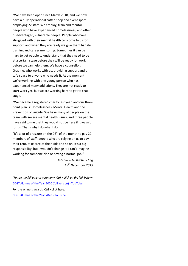"We have been open since March 2018, and we now have a fully operational coffee shop and event space employing 22 staff. We employ, train and mentor people who have experienced homelessness, and other disadvantaged, vulnerable people. People who have struggled with their mental health can come to us for support, and when they are ready we give them barista training and career mentoring. Sometimes it can be hard to get people to understand that they need to be at a certain stage before they will be ready for work, before we can help them. We have a counsellor, Graeme, who works with us, providing support and a safe space to anyone who needs it. At the moment we're working with one young person who has experienced many addictions. They are not ready to start work yet, but we are working hard to get to that stage.

"We became a registered charity last year, and our three point plan is: Homelessness, Mental Health and the Prevention of Suicide. We have many of people on the team with severe mental health issues, and three people have said to me that they would not be here if it wasn't for us. That's why I do what I do.

"It's a lot of pressure on the  $26<sup>th</sup>$  of the month to pay 22 members of staff: people who are relying on us to pay their rent, take care of their kids and so on. It's a big responsibility, but I wouldn't change it. I can't imagine working for someone else or having a normal job."

> *Interview by Rachel Eling 13th December 2019*

[*To see the full awards ceremony, Ctrl + click on the link below:* [GDST Alumna of the Year 2020 \(full version\)](https://www.youtube.com/watch?v=e6xGp6RlsY0) - YouTube For the winners awards, Ctrl + click here: [GDST Alumna of the Year 2020](https://www.youtube.com/watch?v=O9emwicU8ug) - YouTube ]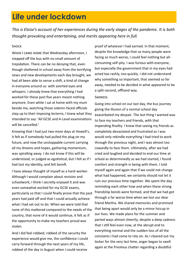## **Life under lockdown**

*This is Eloise's account of her experiences during the early stages of the pandemic. It is both thought-provoking and entertaining, and merits appearing here in full.*

#### Shock

WHEN I CAME HOME that Wednesday afternoon, I stepped off the bus with no small amount of trepidation. There can be no denying that, even though sheltered in school away from the terrifying news and new developments each day brought, we had all been able to sense a shift, a kind of change in everyone around us: with averted eyes and whispers. I already knew that everything I had worked for these past five years meant nothing anymore. Even while I sat at home with my mum beside me, watching those solemn-faced officials step up to their imposing lecterns, I knew what they intended to say: 'All GCSE and A-Level examinations will be cancelled.'

Knowing that I had just two more days at Howell's, it felt as if somebody had pulled the plug on my future, and now the unstoppable current carrying all my dreams and hopes, gathering momentum, was spiralling away. I do not know if this will be understood, or judged as egotistical, but I felt as if I had lost my identity, and felt bereft.

I have always thought of myself as a hard-worker. Although I would complain about revision and schoolwork, I think I secretly enjoyed it and was even somewhat excited for my GCSE exams, particularly so that I could finally prove that the past years had paid off and that I could actually achieve what I had set out to do. When we were told that none of this mattered compared to the needs of the country, that none of it would continue, it felt as if the opportunity to make my teachers proud was stolen.

And I did feel robbed; robbed of the security the experience would give me, the confidence I could carry forward through the next years of my life, robbed of the day in August when I could receive

proof of whatever I had earned. In that moment, despite the knowledge that so many people were facing so much worse, I could feel nothing but allconsuming self-pity. I was furious with everyone, but especially the government that in my eyes had acted too rashly, too quickly. I did not understand why something so important, that seemed so far away, needed to be decided in what appeared to be a split-second, offhand way.

#### **SADNESS**

Going into school on our last day, the bus journey giving the illusion of a normal school day exacerbated my despair. The last thing I wanted was to face my teachers and friends, with that impending finality. I knew that seeing my friends as completely devastated and frustrated as I was would only rekindle everything I had tried to work through the previous night, and I was almost too cowardly to face them. Ultimately, after we had cried and laughed and decided to end our time at school as determinedly as we had started, I found comfort and strength in being with them. I told myself again and again that if we could not change what had happened, we certainly should not let it ruin our precious time together. We spent the day reminding each other how and when these strong friendship bonds were formed, and that we had got through a far worse time when we lost our dear friend Martha. We shared memories and promised that being apart would only be a minor hiccup in our lives. We made plans for the summer and parted ways almost cheerily, despite a deep sadness that I still feel even now, at the abrupt end to everything normal and the sudden loss of all the constants I had come to rely on. As I cleared out my locker for the very last time, anger began to swell again at the frivolous chatter regarding a doubtful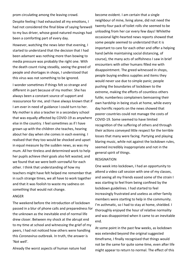prom circulating among the leaving crowd.

Despite feeling I had exhausted all my emotions, I had not considered the final blow of saying farewell to my bus driver, whose good-natured musings had been a comforting part of every day.

However, watching the news later that evening, I started to understand that the decision that I had been adamant was nothing more than bowing to media pressure was probably the right one. With the death count rising steadily, seeing the greed of people and shortages in shops, I understood that this virus was not something to be ignored.

I wonder sometimes if things felt so strange and different in part because of my mother. She has always been a constant source of support and reassurance for me, and I have always known that if I am ever in need of guidance I could turn to her. My mother is also a teacher in a secondary school that was equally affected by COVID-19 as anywhere else in the country. I feel sometimes as if I have grown up with the children she teaches, hearing about her day when she comes in each evening. I realised that they too would be shocked and upset in equal measure by the sudden news, as was my mum. All her tireless and determined work to help her pupils achieve *their* goals also felt wasted, and we found that we were both sorrowful for each other. I think that understanding of how my teachers might have felt helped me remember that in such strange times, we all have to work together and that it was foolish to waste my sadness on something that would not change.

#### ANGER

The weekend before the introduction of lockdown passed in a blur of phone calls and preparedness for the unknown as the inevitable end of normal life drew closer. Between my shock at the abrupt end to my time at school and witnessing the grief of my peers, I had not noticed how others were handling this *Coronavirus* outbreak. In truth, the answer is 'Not well'.

Already the worst aspects of human nature had

become evident. I am certain that a single neighbour of mine, living alone, did not need the twenty-four pack of toilet rolls she seemed to be unloading from her car every few days! Whilethe occasional light-hearted news reports showed that some people seemed to understand that it is important to care for each other and offer a helping hand (while maintaining social distancing, of course), the many acts of selfishness I saw in brief encounters with other humans filled me with disappointment. The greed witnessed in shops, people buying endless supplies and items they would never use due to simple panic; people pushing the boundaries of lockdown to the extreme, making the efforts of countless others futile; numberless complainers bemoaning their own hardship in being stuck at home, while every day horrific reports on the news showed that poorer countries could not manage the costs of COVID-19. Some seemed to have limited recognition of the suffering of others and through their actions conveyed little respect for the terrible losses that many were facing. Partying and playing blaring music, while not against the lockdown rules, seemed incredibly inappropriate and not in the general spirit of things.

#### RESIGNATION

One week into lockdown, I had an opportunity to attend a video call session with one of my classes, and seeing all my friends eased some of the strain I was starting to feel from being confined by the lockdown guidelines. I had started to feel increasingly frustrated and useless as other family members were starting to help in the community. I'm asthmatic, so I had to stay at home, shielded. I thoroughly enjoyed the hour of relative normality and was disappointed when it came to an inevitable end.

At some point in the past few weeks, as lockdown was extended beyond the original suggested timeframe, I finally recognised that things would not be the same for quite some time, even after life might appear to return to normal. The effect of this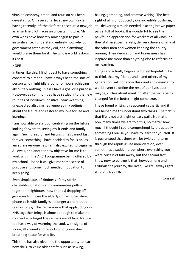virus on economy, trade, and tourism has been devastating. On a personal level, my own uncle, having recently left the air force to secure a new job as an airline pilot, faces an uncertain future. My own woes have honestly now begun to pale in insignificance. I understand entirely now why our government acted as they did, and if anything I would praise them for it. The whole world is doing its best.

#### **HOPE**

In times like this, I find it best to have something concrete to aim for. I have always been the sort of person who might idle around for hours achieving absolutely nothing unless I have a goal or a purpose. However, as communities have settled into the new routines of lockdown, positive, heart-warming, unexpected altruism has renewed my optimism about the future and restored my love for life and learning.

I am now able to start concentrating on the future, looking forward to seeing my friends and family again. Such dreadful and testing times cannot last forever, something I have decided to focus on, as I am sure everyone has. I am also excited to begin my A-Levels, and another new objective for me is to work within the ARCH programme being offered by my school. I hope it will give me some sense of purpose and some much needed motivation to keep going.

Even simple acts of kindness lift my spirits: charitable donations and communities pulling together, neighbours (now friends) dropping off groceries for those the elderly or frail. Cherishing phone calls with family is no longer a chore but a reason for joy. The camaraderie that applauding our NHS together brings is almost enough to make me momentarily forget the sadness we all face. Nature too has a way of warming the soul, with sights of spring all around and reports of long overdue breathing space for wildlife.

This time has also given me the opportunity to learn new skills, to value older crafts such as sewing,

baking, gardening, and creative writing. The best sight of all is undoubtedly our incredible postman, still delivering a much needed, exciting brown paper parcel full of books. It is wonderful to see the newfound appreciation for workers of all kinds, be they staff in supermarkets, delivery drivers or any of the other men and women keeping the county running. Their dedication and tirelessness has inspired me more than anything else to refocus on my learning.

Things are actually beginning to feel hopeful. I like to think that my friends and I, and others of my generation, will not allow this cruel and devastating world event to define the rest of our lives. Just maybe, clichés about mankind after the virus being changed for the better might come true.

I have found writing this account cathartic and it has helped me to understand two things. The first is that life is not a straight or easy path. No matter how many times we are told this, no matter how much I thought I could comprehend it, it is actually something I realise you have to learn for yourself. It is guaranteed that there will be twists and turns through the rapids as life meanders on, even sometimes a sudden drop, where everything you were certain of falls away, but the second fact I know now to be true is that, however long and arduous the journey, the river, like life, always gets where it is going.

*Eloise M*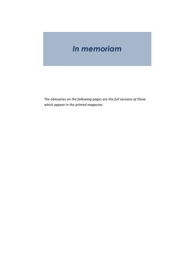# *In memoriam*

*The obituaries on the following pages are the full versions of those which appear in the printed magazine.*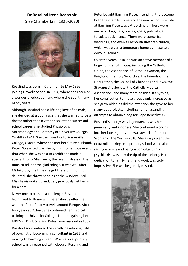**Dr Rosalind Irene Bearcroft**  (née Chamberlain, 1926-2020)



Rosalind was born in Cardiff on 16 May 1926, joining Howells School in 1934, where she received a wonderful education and where she spent many happy years.

Although Rosalind had a lifelong love of animals, she decided at a young age that she wanted to be a doctor rather than a vet and so, after a successful school career, she studied Physiology, Anthropology and Anatomy at University College, Cardiff in 1943. She then went onto Somerville College, Oxford, where she met her future husband, Peter. So excited was she by this momentous event that when she was next in Cardiff she made a special trip to Miss Lewis, the headmistress of the time, to tell her the glad tidings. It was well after Midnight by the time she got there but, nothing daunted, she threw pebbles at the window until Miss Lewis woke up and, very graciously, let her in for a chat!

Never one to pass up a challenge, Rosalind hitchhiked to Rome with Peter shortly after the war, the first of many travels around Europe. After two years at Oxford, she continued her medical training at University College, London, gaining her MBBS in 1951. She and Peter were married in 1952.

Rosalind soon entered the rapidly developing field of psychiatry, becoming a consultant in 1966 and moving to Barming in Kent. When a local primary school was threatened with closure, Rosalind and

Peter bought Barming Place, intending it to become both their family home and the new school site. Life at Barming Place was extraordinary. There were animals: dogs, cats, horses, goats, polecats, a tortoise, stick insects. There were concerts, weddings, and even a Plymouth Brethren church, which was given a temporary home by these two devout Catholics.

Over the years Rosalind was an active member of a large number of groups, including the Catholic Union, the Association of Catholic Women, the Knights of the Holy Sepulchre, the Friends of the Holy Father, the Council of Christians and Jews, the St Augustine Society, the Catholic Medical Association, and many more besides. If anything, her contribution to these groups only increased as she grew older, as did the attention she gave to her many pet projects, including her longstanding attempts to obtain a dog for Pope Benedict XVI!

Rosalind's energy was legendary, as was her generosity and kindness. She continued working into her late eighties and was awarded Catholic Woman of the Year in 2018. She always went the extra mile: taking on a primary school while also raising a family and being a consultant child psychiatrist was only the tip of the iceberg. Her dedication to family, faith and work was truly impressive. She will be greatly missed.